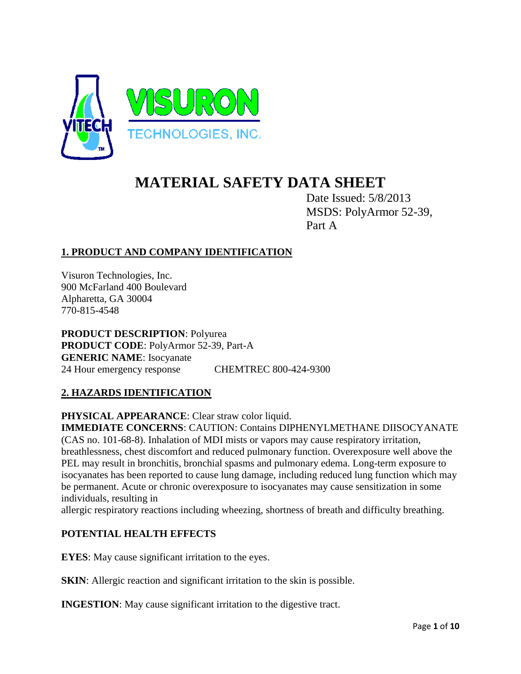

# **MATERIAL SAFETY DATA SHEET**

Date Issued: 5/8/2013 MSDS: PolyArmor 52-39, Part A

# **1. PRODUCT AND COMPANY IDENTIFICATION**

Visuron Technologies, Inc. 900 McFarland 400 Boulevard Alpharetta, GA 30004 770-815-4548

**PRODUCT DESCRIPTION**: Polyurea **PRODUCT CODE**: PolyArmor 52-39, Part-A **GENERIC NAME**: Isocyanate 24 Hour emergency response CHEMTREC 800-424-9300

## **2. HAZARDS IDENTIFICATION**

**PHYSICAL APPEARANCE**: Clear straw color liquid.

**IMMEDIATE CONCERNS**: CAUTION: Contains DIPHENYLMETHANE DIISOCYANATE (CAS no. 101-68-8). Inhalation of MDI mists or vapors may cause respiratory irritation, breathlessness, chest discomfort and reduced pulmonary function. Overexposure well above the PEL may result in bronchitis, bronchial spasms and pulmonary edema. Long-term exposure to isocyanates has been reported to cause lung damage, including reduced lung function which may be permanent. Acute or chronic overexposure to isocyanates may cause sensitization in some individuals, resulting in

allergic respiratory reactions including wheezing, shortness of breath and difficulty breathing.

## **POTENTIAL HEALTH EFFECTS**

**EYES**: May cause significant irritation to the eyes.

**SKIN:** Allergic reaction and significant irritation to the skin is possible.

**INGESTION:** May cause significant irritation to the digestive tract.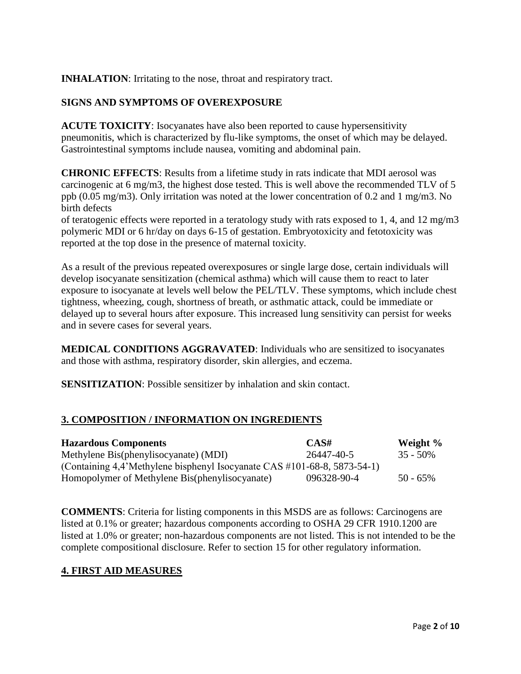**INHALATION**: Irritating to the nose, throat and respiratory tract.

## **SIGNS AND SYMPTOMS OF OVEREXPOSURE**

**ACUTE TOXICITY**: Isocyanates have also been reported to cause hypersensitivity pneumonitis, which is characterized by flu-like symptoms, the onset of which may be delayed. Gastrointestinal symptoms include nausea, vomiting and abdominal pain.

**CHRONIC EFFECTS**: Results from a lifetime study in rats indicate that MDI aerosol was carcinogenic at 6 mg/m3, the highest dose tested. This is well above the recommended TLV of 5 ppb (0.05 mg/m3). Only irritation was noted at the lower concentration of 0.2 and 1 mg/m3. No birth defects

of teratogenic effects were reported in a teratology study with rats exposed to 1, 4, and 12 mg/m3 polymeric MDI or 6 hr/day on days 6-15 of gestation. Embryotoxicity and fetotoxicity was reported at the top dose in the presence of maternal toxicity.

As a result of the previous repeated overexposures or single large dose, certain individuals will develop isocyanate sensitization (chemical asthma) which will cause them to react to later exposure to isocyanate at levels well below the PEL/TLV. These symptoms, which include chest tightness, wheezing, cough, shortness of breath, or asthmatic attack, could be immediate or delayed up to several hours after exposure. This increased lung sensitivity can persist for weeks and in severe cases for several years.

**MEDICAL CONDITIONS AGGRAVATED**: Individuals who are sensitized to isocyanates and those with asthma, respiratory disorder, skin allergies, and eczema.

**SENSITIZATION:** Possible sensitizer by inhalation and skin contact.

## **3. COMPOSITION / INFORMATION ON INGREDIENTS**

| <b>Hazardous Components</b>                                              | CAS#        | Weight %    |
|--------------------------------------------------------------------------|-------------|-------------|
| Methylene Bis(phenylisocyanate) (MDI)                                    | 26447-40-5  | $35 - 50\%$ |
| (Containing 4,4'Methylene bisphenyl Isocyanate CAS #101-68-8, 5873-54-1) |             |             |
| Homopolymer of Methylene Bis(phenylisocyanate)                           | 096328-90-4 | $50 - 65\%$ |

**COMMENTS**: Criteria for listing components in this MSDS are as follows: Carcinogens are listed at 0.1% or greater; hazardous components according to OSHA 29 CFR 1910.1200 are listed at 1.0% or greater; non-hazardous components are not listed. This is not intended to be the complete compositional disclosure. Refer to section 15 for other regulatory information.

## **4. FIRST AID MEASURES**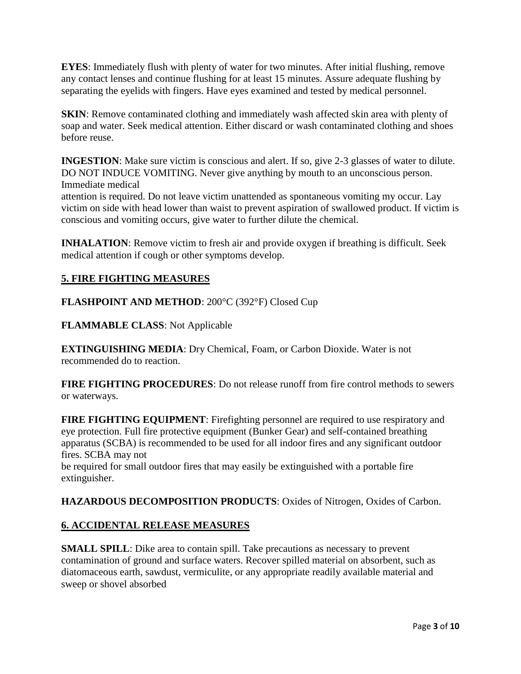**EYES**: Immediately flush with plenty of water for two minutes. After initial flushing, remove any contact lenses and continue flushing for at least 15 minutes. Assure adequate flushing by separating the eyelids with fingers. Have eyes examined and tested by medical personnel.

**SKIN**: Remove contaminated clothing and immediately wash affected skin area with plenty of soap and water. Seek medical attention. Either discard or wash contaminated clothing and shoes before reuse.

**INGESTION:** Make sure victim is conscious and alert. If so, give 2-3 glasses of water to dilute. DO NOT INDUCE VOMITING. Never give anything by mouth to an unconscious person. Immediate medical

attention is required. Do not leave victim unattended as spontaneous vomiting my occur. Lay victim on side with head lower than waist to prevent aspiration of swallowed product. If victim is conscious and vomiting occurs, give water to further dilute the chemical.

**INHALATION**: Remove victim to fresh air and provide oxygen if breathing is difficult. Seek medical attention if cough or other symptoms develop.

# **5. FIRE FIGHTING MEASURES**

**FLASHPOINT AND METHOD**: 200°C (392°F) Closed Cup

**FLAMMABLE CLASS**: Not Applicable

**EXTINGUISHING MEDIA**: Dry Chemical, Foam, or Carbon Dioxide. Water is not recommended do to reaction.

**FIRE FIGHTING PROCEDURES**: Do not release runoff from fire control methods to sewers or waterways.

**FIRE FIGHTING EQUIPMENT**: Firefighting personnel are required to use respiratory and eye protection. Full fire protective equipment (Bunker Gear) and self-contained breathing apparatus (SCBA) is recommended to be used for all indoor fires and any significant outdoor fires. SCBA may not

be required for small outdoor fires that may easily be extinguished with a portable fire extinguisher.

## **HAZARDOUS DECOMPOSITION PRODUCTS**: Oxides of Nitrogen, Oxides of Carbon.

# **6. ACCIDENTAL RELEASE MEASURES**

**SMALL SPILL**: Dike area to contain spill. Take precautions as necessary to prevent contamination of ground and surface waters. Recover spilled material on absorbent, such as diatomaceous earth, sawdust, vermiculite, or any appropriate readily available material and sweep or shovel absorbed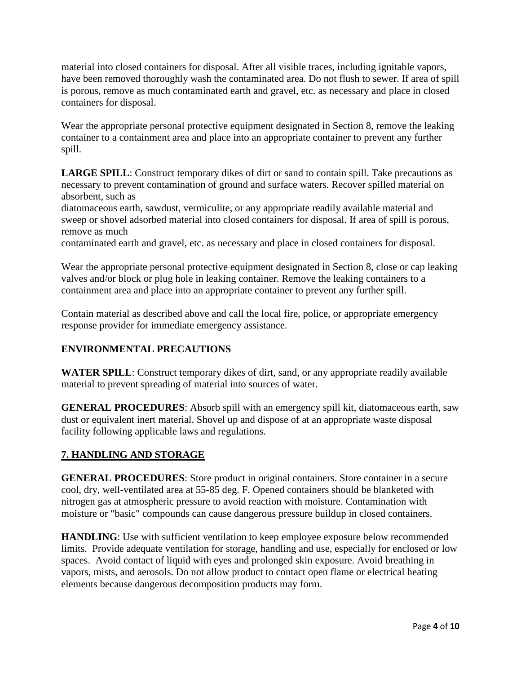material into closed containers for disposal. After all visible traces, including ignitable vapors, have been removed thoroughly wash the contaminated area. Do not flush to sewer. If area of spill is porous, remove as much contaminated earth and gravel, etc. as necessary and place in closed containers for disposal.

Wear the appropriate personal protective equipment designated in Section 8, remove the leaking container to a containment area and place into an appropriate container to prevent any further spill.

**LARGE SPILL**: Construct temporary dikes of dirt or sand to contain spill. Take precautions as necessary to prevent contamination of ground and surface waters. Recover spilled material on absorbent, such as

diatomaceous earth, sawdust, vermiculite, or any appropriate readily available material and sweep or shovel adsorbed material into closed containers for disposal. If area of spill is porous, remove as much

contaminated earth and gravel, etc. as necessary and place in closed containers for disposal.

Wear the appropriate personal protective equipment designated in Section 8, close or cap leaking valves and/or block or plug hole in leaking container. Remove the leaking containers to a containment area and place into an appropriate container to prevent any further spill.

Contain material as described above and call the local fire, police, or appropriate emergency response provider for immediate emergency assistance.

# **ENVIRONMENTAL PRECAUTIONS**

**WATER SPILL**: Construct temporary dikes of dirt, sand, or any appropriate readily available material to prevent spreading of material into sources of water.

**GENERAL PROCEDURES**: Absorb spill with an emergency spill kit, diatomaceous earth, saw dust or equivalent inert material. Shovel up and dispose of at an appropriate waste disposal facility following applicable laws and regulations.

## **7. HANDLING AND STORAGE**

**GENERAL PROCEDURES**: Store product in original containers. Store container in a secure cool, dry, well-ventilated area at 55-85 deg. F. Opened containers should be blanketed with nitrogen gas at atmospheric pressure to avoid reaction with moisture. Contamination with moisture or "basic" compounds can cause dangerous pressure buildup in closed containers.

**HANDLING**: Use with sufficient ventilation to keep employee exposure below recommended limits. Provide adequate ventilation for storage, handling and use, especially for enclosed or low spaces. Avoid contact of liquid with eyes and prolonged skin exposure. Avoid breathing in vapors, mists, and aerosols. Do not allow product to contact open flame or electrical heating elements because dangerous decomposition products may form.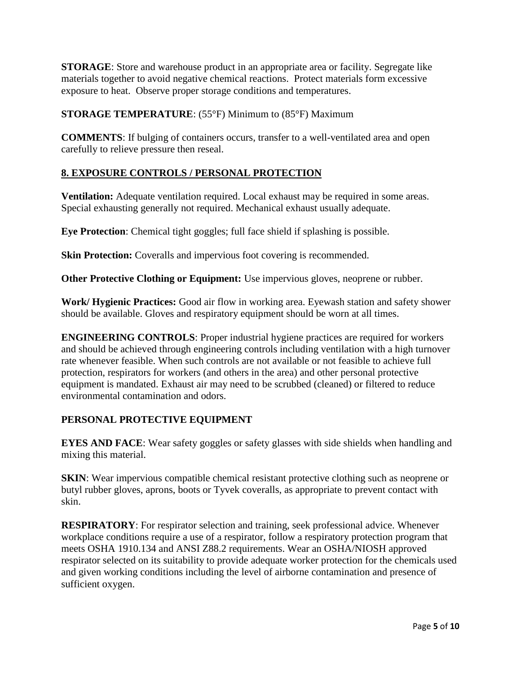**STORAGE**: Store and warehouse product in an appropriate area or facility. Segregate like materials together to avoid negative chemical reactions. Protect materials form excessive exposure to heat. Observe proper storage conditions and temperatures.

**STORAGE TEMPERATURE**: (55°F) Minimum to (85°F) Maximum

**COMMENTS**: If bulging of containers occurs, transfer to a well-ventilated area and open carefully to relieve pressure then reseal.

# **8. EXPOSURE CONTROLS / PERSONAL PROTECTION**

**Ventilation:** Adequate ventilation required. Local exhaust may be required in some areas. Special exhausting generally not required. Mechanical exhaust usually adequate.

**Eye Protection**: Chemical tight goggles; full face shield if splashing is possible.

**Skin Protection:** Coveralls and impervious foot covering is recommended.

**Other Protective Clothing or Equipment:** Use impervious gloves, neoprene or rubber.

**Work/ Hygienic Practices:** Good air flow in working area. Eyewash station and safety shower should be available. Gloves and respiratory equipment should be worn at all times.

**ENGINEERING CONTROLS**: Proper industrial hygiene practices are required for workers and should be achieved through engineering controls including ventilation with a high turnover rate whenever feasible. When such controls are not available or not feasible to achieve full protection, respirators for workers (and others in the area) and other personal protective equipment is mandated. Exhaust air may need to be scrubbed (cleaned) or filtered to reduce environmental contamination and odors.

## **PERSONAL PROTECTIVE EQUIPMENT**

**EYES AND FACE**: Wear safety goggles or safety glasses with side shields when handling and mixing this material.

**SKIN:** Wear impervious compatible chemical resistant protective clothing such as neoprene or butyl rubber gloves, aprons, boots or Tyvek coveralls, as appropriate to prevent contact with skin.

**RESPIRATORY**: For respirator selection and training, seek professional advice. Whenever workplace conditions require a use of a respirator, follow a respiratory protection program that meets OSHA 1910.134 and ANSI Z88.2 requirements. Wear an OSHA/NIOSH approved respirator selected on its suitability to provide adequate worker protection for the chemicals used and given working conditions including the level of airborne contamination and presence of sufficient oxygen.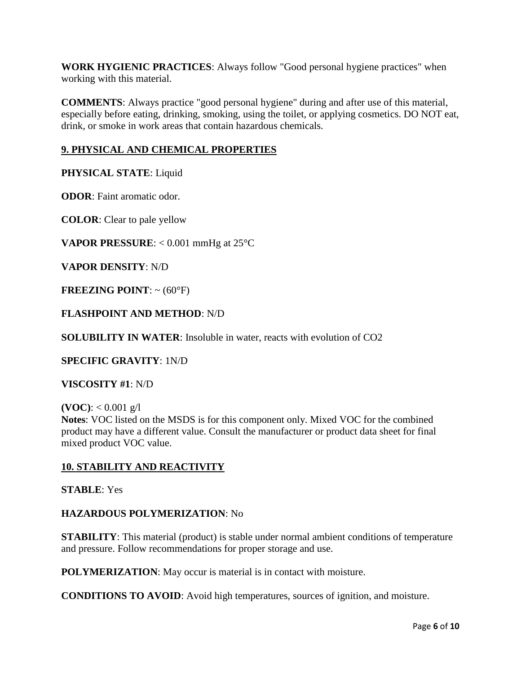**WORK HYGIENIC PRACTICES**: Always follow "Good personal hygiene practices" when working with this material.

**COMMENTS**: Always practice "good personal hygiene" during and after use of this material, especially before eating, drinking, smoking, using the toilet, or applying cosmetics. DO NOT eat, drink, or smoke in work areas that contain hazardous chemicals.

# **9. PHYSICAL AND CHEMICAL PROPERTIES**

**PHYSICAL STATE**: Liquid

**ODOR**: Faint aromatic odor.

**COLOR**: Clear to pale yellow

**VAPOR PRESSURE**: < 0.001 mmHg at 25°C

**VAPOR DENSITY**: N/D

**FREEZING POINT**: ~ (60°F)

## **FLASHPOINT AND METHOD**: N/D

**SOLUBILITY IN WATER**: Insoluble in water, reacts with evolution of CO2

**SPECIFIC GRAVITY**: 1N/D

**VISCOSITY #1**: N/D

**(VOC):**  $< 0.001$  g/l

**Notes**: VOC listed on the MSDS is for this component only. Mixed VOC for the combined product may have a different value. Consult the manufacturer or product data sheet for final mixed product VOC value.

## **10. STABILITY AND REACTIVITY**

**STABLE**: Yes

#### **HAZARDOUS POLYMERIZATION**: No

**STABILITY**: This material (product) is stable under normal ambient conditions of temperature and pressure. Follow recommendations for proper storage and use.

**POLYMERIZATION**: May occur is material is in contact with moisture.

**CONDITIONS TO AVOID**: Avoid high temperatures, sources of ignition, and moisture.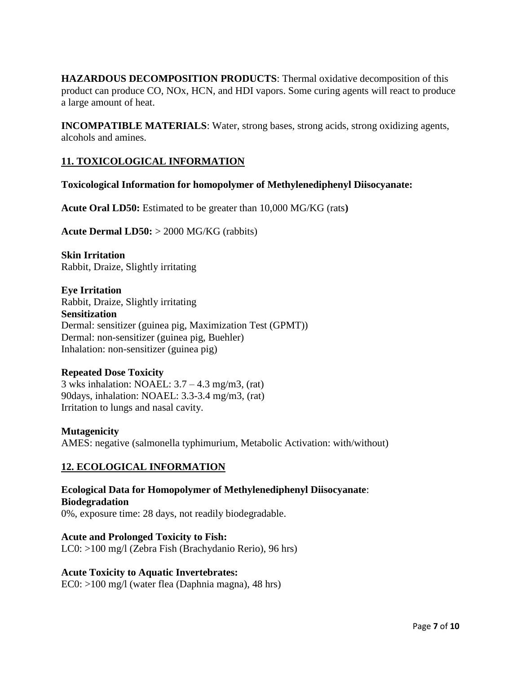**HAZARDOUS DECOMPOSITION PRODUCTS**: Thermal oxidative decomposition of this product can produce CO, NOx, HCN, and HDI vapors. Some curing agents will react to produce a large amount of heat.

**INCOMPATIBLE MATERIALS**: Water, strong bases, strong acids, strong oxidizing agents, alcohols and amines.

## **11. TOXICOLOGICAL INFORMATION**

**Toxicological Information for homopolymer of Methylenediphenyl Diisocyanate:**

**Acute Oral LD50:** Estimated to be greater than 10,000 MG/KG (rats**)**

**Acute Dermal LD50:** > 2000 MG/KG (rabbits)

**Skin Irritation** Rabbit, Draize, Slightly irritating

**Eye Irritation** Rabbit, Draize, Slightly irritating **Sensitization** Dermal: sensitizer (guinea pig, Maximization Test (GPMT)) Dermal: non-sensitizer (guinea pig, Buehler) Inhalation: non-sensitizer (guinea pig)

#### **Repeated Dose Toxicity**

3 wks inhalation: NOAEL:  $3.7 - 4.3$  mg/m3, (rat) 90days, inhalation: NOAEL: 3.3-3.4 mg/m3, (rat) Irritation to lungs and nasal cavity.

#### **Mutagenicity**

AMES: negative (salmonella typhimurium, Metabolic Activation: with/without)

## **12. ECOLOGICAL INFORMATION**

**Ecological Data for Homopolymer of Methylenediphenyl Diisocyanate**: **Biodegradation** 0%, exposure time: 28 days, not readily biodegradable.

## **Acute and Prolonged Toxicity to Fish:**

LC0: >100 mg/l (Zebra Fish (Brachydanio Rerio), 96 hrs)

#### **Acute Toxicity to Aquatic Invertebrates:**

EC0: >100 mg/l (water flea (Daphnia magna), 48 hrs)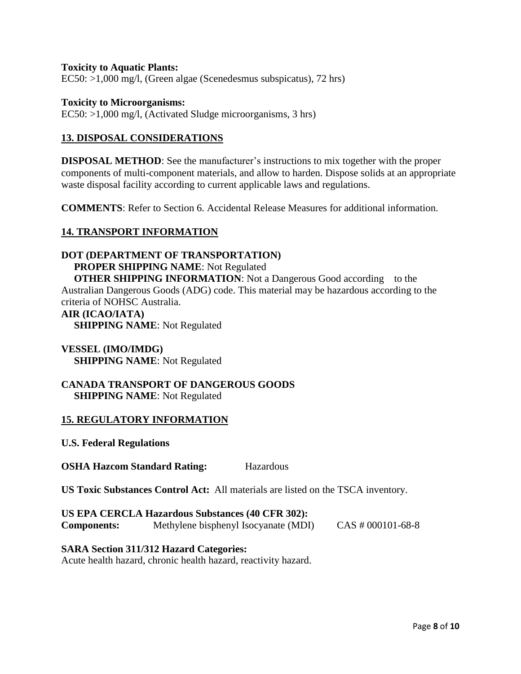#### **Toxicity to Aquatic Plants:**

EC50: >1,000 mg/l, (Green algae (Scenedesmus subspicatus), 72 hrs)

#### **Toxicity to Microorganisms:**

EC50: >1,000 mg/l, (Activated Sludge microorganisms, 3 hrs)

## **13. DISPOSAL CONSIDERATIONS**

**DISPOSAL METHOD:** See the manufacturer's instructions to mix together with the proper components of multi-component materials, and allow to harden. Dispose solids at an appropriate waste disposal facility according to current applicable laws and regulations.

**COMMENTS**: Refer to Section 6. Accidental Release Measures for additional information.

#### **14. TRANSPORT INFORMATION**

## **DOT (DEPARTMENT OF TRANSPORTATION)**

 **PROPER SHIPPING NAME**: Not Regulated

**OTHER SHIPPING INFORMATION:** Not a Dangerous Good according to the Australian Dangerous Goods (ADG) code. This material may be hazardous according to the criteria of NOHSC Australia.

#### **AIR (ICAO/IATA)**

 **SHIPPING NAME**: Not Regulated

#### **VESSEL (IMO/IMDG) SHIPPING NAME**: Not Regulated

#### **CANADA TRANSPORT OF DANGEROUS GOODS SHIPPING NAME**: Not Regulated

#### **15. REGULATORY INFORMATION**

**U.S. Federal Regulations** 

**OSHA Hazcom Standard Rating:** Hazardous

**US Toxic Substances Control Act:** All materials are listed on the TSCA inventory.

## **US EPA CERCLA Hazardous Substances (40 CFR 302): Components:** Methylene bisphenyl Isocyanate (MDI) CAS # 000101-68-8

#### **SARA Section 311/312 Hazard Categories:**

Acute health hazard, chronic health hazard, reactivity hazard.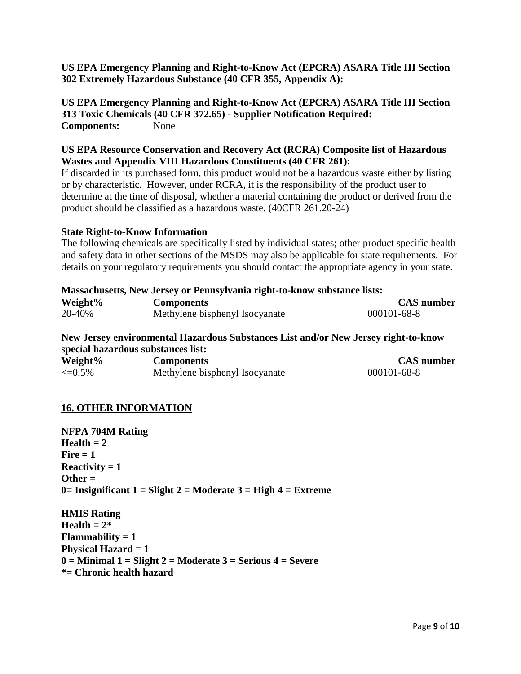## **US EPA Emergency Planning and Right-to-Know Act (EPCRA) ASARA Title III Section 302 Extremely Hazardous Substance (40 CFR 355, Appendix A):**

**US EPA Emergency Planning and Right-to-Know Act (EPCRA) ASARA Title III Section 313 Toxic Chemicals (40 CFR 372.65) - Supplier Notification Required: Components:** None

#### **US EPA Resource Conservation and Recovery Act (RCRA) Composite list of Hazardous Wastes and Appendix VIII Hazardous Constituents (40 CFR 261):**

If discarded in its purchased form, this product would not be a hazardous waste either by listing or by characteristic. However, under RCRA, it is the responsibility of the product user to determine at the time of disposal, whether a material containing the product or derived from the product should be classified as a hazardous waste. (40CFR 261.20-24)

#### **State Right-to-Know Information**

The following chemicals are specifically listed by individual states; other product specific health and safety data in other sections of the MSDS may also be applicable for state requirements. For details on your regulatory requirements you should contact the appropriate agency in your state.

| <b>Massachusetts, New Jersey or Pennsylvania right-to-know substance lists:</b> |                                |                   |  |  |
|---------------------------------------------------------------------------------|--------------------------------|-------------------|--|--|
| Weight <sup>%</sup>                                                             | <b>Components</b>              | <b>CAS</b> number |  |  |
| 20-40%                                                                          | Methylene bisphenyl Isocyanate | 000101-68-8       |  |  |

**New Jersey environmental Hazardous Substances List and/or New Jersey right-to-know special hazardous substances list:**

| Weight%      | <b>Components</b>              | <b>CAS</b> number |
|--------------|--------------------------------|-------------------|
| $\leq=0.5\%$ | Methylene bisphenyl Isocyanate | $000101 - 68 - 8$ |

## **16. OTHER INFORMATION**

**NFPA 704M Rating**  $Health = 2$ **Fire = 1 Reactivity = 1 Other = 0= Insignificant 1 = Slight 2 = Moderate 3 = High 4 = Extreme**

**HMIS Rating**  $\textbf{Health} = 2^*$ **Flammability = 1 Physical Hazard = 1 0 = Minimal 1 = Slight 2 = Moderate 3 = Serious 4 = Severe \*= Chronic health hazard**